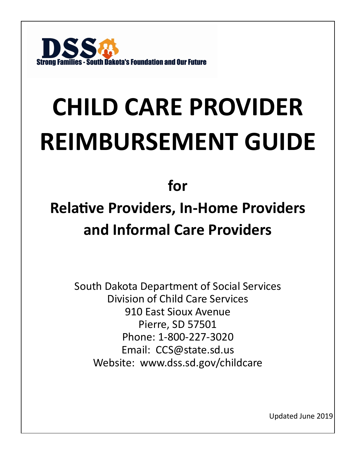

# **CHILD CARE PROVIDER REIMBURSEMENT GUIDE**

## **for**

# **Relative Providers, In-Home Providers and Informal Care Providers**

South Dakota Department of Social Services Division of Child Care Services 910 East Sioux Avenue Pierre, SD 57501 Phone: 1-800-227-3020 Email: CCS@state.sd.us Website: www.dss.sd.gov/childcare

Updated June 2019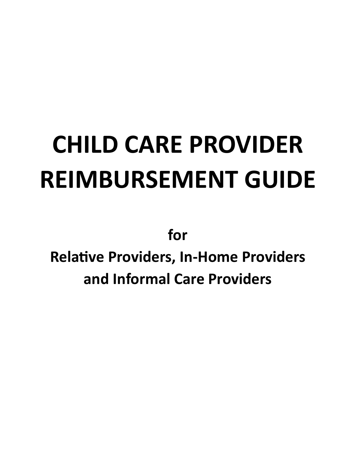# **CHILD CARE PROVIDER REIMBURSEMENT GUIDE**

**for**

**Relative Providers, In-Home Providers and Informal Care Providers**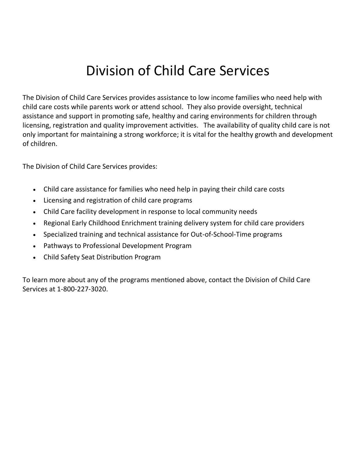## Division of Child Care Services

The Division of Child Care Services provides assistance to low income families who need help with child care costs while parents work or attend school. They also provide oversight, technical assistance and support in promoting safe, healthy and caring environments for children through licensing, registration and quality improvement activities. The availability of quality child care is not only important for maintaining a strong workforce; it is vital for the healthy growth and development of children.

The Division of Child Care Services provides:

- Child care assistance for families who need help in paying their child care costs
- Licensing and registration of child care programs
- Child Care facility development in response to local community needs
- Regional Early Childhood Enrichment training delivery system for child care providers
- Specialized training and technical assistance for Out-of-School-Time programs
- Pathways to Professional Development Program
- Child Safety Seat Distribution Program

To learn more about any of the programs mentioned above, contact the Division of Child Care Services at 1-800-227-3020.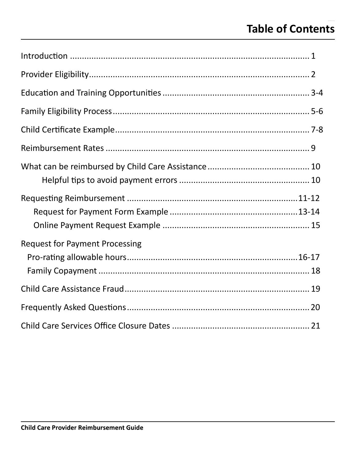## **Table of Contents**

| <b>Request for Payment Processing</b> |  |
|---------------------------------------|--|
|                                       |  |
|                                       |  |
|                                       |  |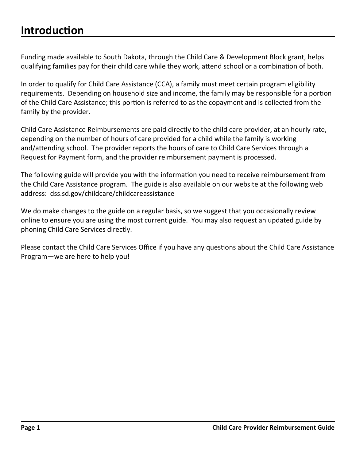### **Introduction**

Funding made available to South Dakota, through the Child Care & Development Block grant, helps qualifying families pay for their child care while they work, attend school or a combination of both.

In order to qualify for Child Care Assistance (CCA), a family must meet certain program eligibility requirements. Depending on household size and income, the family may be responsible for a portion of the Child Care Assistance; this portion is referred to as the copayment and is collected from the family by the provider.

Child Care Assistance Reimbursements are paid directly to the child care provider, at an hourly rate, depending on the number of hours of care provided for a child while the family is working and/attending school. The provider reports the hours of care to Child Care Services through a Request for Payment form, and the provider reimbursement payment is processed.

The following guide will provide you with the information you need to receive reimbursement from the Child Care Assistance program. The guide is also available on our website at the following web address: dss.sd.gov/childcare/childcareassistance

We do make changes to the guide on a regular basis, so we suggest that you occasionally review online to ensure you are using the most current guide. You may also request an updated guide by phoning Child Care Services directly.

Please contact the Child Care Services Office if you have any questions about the Child Care Assistance Program—we are here to help you!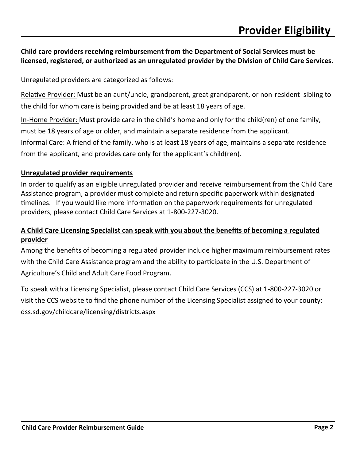#### **Child care providers receiving reimbursement from the Department of Social Services must be licensed, registered, or authorized as an unregulated provider by the Division of Child Care Services.**

Unregulated providers are categorized as follows:

Relative Provider: Must be an aunt/uncle, grandparent, great grandparent, or non-resident sibling to the child for whom care is being provided and be at least 18 years of age.

In-Home Provider: Must provide care in the child's home and only for the child(ren) of one family, must be 18 years of age or older, and maintain a separate residence from the applicant. Informal Care: A friend of the family, who is at least 18 years of age, maintains a separate residence from the applicant, and provides care only for the applicant's child(ren).

#### **Unregulated provider requirements**

In order to qualify as an eligible unregulated provider and receive reimbursement from the Child Care Assistance program, a provider must complete and return specific paperwork within designated timelines. If you would like more information on the paperwork requirements for unregulated providers, please contact Child Care Services at 1-800-227-3020.

#### **A Child Care Licensing Specialist can speak with you about the benefits of becoming a regulated provider**

Among the benefits of becoming a regulated provider include higher maximum reimbursement rates with the Child Care Assistance program and the ability to participate in the U.S. Department of Agriculture's Child and Adult Care Food Program.

To speak with a Licensing Specialist, please contact Child Care Services (CCS) at 1-800-227-3020 or visit the CCS website to find the phone number of the Licensing Specialist assigned to your county: dss.sd.gov/childcare/licensing/districts.aspx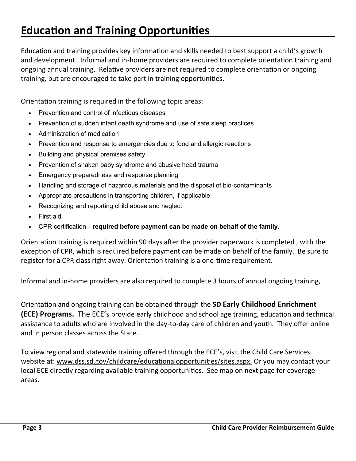## **Education and Training Opportunities**

Education and training provides key information and skills needed to best support a child's growth and development. Informal and in-home providers are required to complete orientation training and ongoing annual training. Relative providers are not required to complete orientation or ongoing training, but are encouraged to take part in training opportunities.

Orientation training is required in the following topic areas:

- Prevention and control of infectious diseases
- Prevention of sudden infant death syndrome and use of safe sleep practices
- Administration of medication
- Prevention and response to emergencies due to food and allergic reactions
- Building and physical premises safety
- Prevention of shaken baby syndrome and abusive head trauma
- Emergency preparedness and response planning
- Handling and storage of hazardous materials and the disposal of bio-contaminants
- Appropriate precautions in transporting children, if applicable
- Recognizing and reporting child abuse and neglect
- First aid
- CPR certification—**required before payment can be made on behalf of the family**.

Orientation training is required within 90 days after the provider paperwork is completed , with the exception of CPR, which is required before payment can be made on behalf of the family. Be sure to register for a CPR class right away. Orientation training is a one-time requirement.

Informal and in-home providers are also required to complete 3 hours of annual ongoing training,

Orientation and ongoing training can be obtained through the **SD Early Childhood Enrichment (ECE) Programs.** The ECE's provide early childhood and school age training, education and technical assistance to adults who are involved in the day-to-day care of children and youth. They offer online and in person classes across the State.

To view regional and statewide training offered through the ECE's, visit the Child Care Services website at: [www.dss.sd.gov/childcare/educationalopportunities/sites.a](http://www.dss.sd.gov/childcare/training/)spx. Or you may contact your local ECE directly regarding available training opportunities. See map on next page for coverage areas.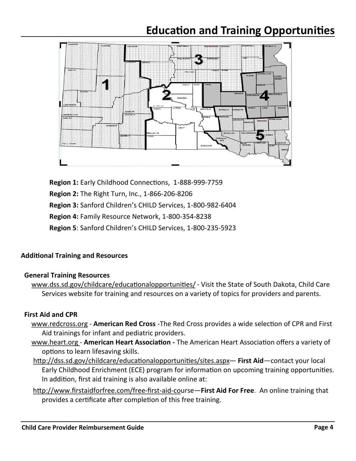### **Education and Training Opportunities**



**Region 1:** Early Childhood Connections, 1-888-999-7759 **Region 2:** The Right Turn, Inc., 1-866-206-8206 **Region 3:** Sanford Children's CHILD Services, 1-800-982-6404 **Region 4:** Family Resource Network, 1-800-354-8238 **Region 5**: Sanford Children's CHILD Services, 1-800-235-5923

#### **Additional Training and Resources**

#### **General Training Resources**

[www.dss.sd.gov/childcare/educationalopportunities/](http://www.dss.sd.gov/childcare/resources/)- Visit the State of South Dakota, Child Care Services website for training and resources on a variety of topics for providers and parents.

#### **First Aid and CPR**

- [www.redcross.org](http://www.redcross.org) **[American Red Cross](http://www.redcross.org/portal/site/en/menuitem.d8aaecf214c576bf971e4cfe43181aa0/?vgnextoid=46de1a53f1c37110VgnVCM1000003481a10aRCRD&vgnextfmt=default)** -The Red Cross provides a wide selection of CPR and First Aid trainings for infant and pediatric providers.
- [www.heart.org](http://www.heart.org)  **American Heart Association -** The American Heart Association offers a variety of options to learn lifesaving skills.
- http://dss.sd.gov/childcare/educationalopportunities/sites.aspx— **First Aid**—contact your local Early Childhood Enrichment (ECE) program for information on upcoming training opportunities. In addition, first aid training is also available online at:
- http://www.firstaidforfree.com/free-first-aid-course—**First Aid For Free**. An online training that provides a certificate after completion of this free training.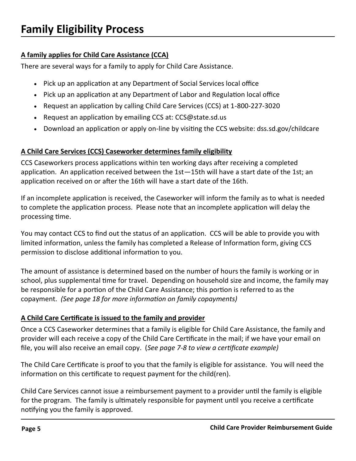#### **A family applies for Child Care Assistance (CCA)**

There are several ways for a family to apply for Child Care Assistance.

- Pick up an application at any Department of Social Services local office
- Pick up an application at any Department of Labor and Regulation local office
- Request an application by calling Child Care Services (CCS) at 1-800-227-3020
- Request an application by emailing CCS at: CCS@state.sd.us
- Download an application or apply on-line by visiting the CCS website: dss.sd.gov/childcare

#### **A Child Care Services (CCS) Caseworker determines family eligibility**

CCS Caseworkers process applications within ten working days after receiving a completed application. An application received between the 1st—15th will have a start date of the 1st; an application received on or after the 16th will have a start date of the 16th.

If an incomplete application is received, the Caseworker will inform the family as to what is needed to complete the application process. Please note that an incomplete application will delay the processing time.

You may contact CCS to find out the status of an application. CCS will be able to provide you with limited information, unless the family has completed a Release of Information form, giving CCS permission to disclose additional information to you.

The amount of assistance is determined based on the number of hours the family is working or in school, plus supplemental time for travel. Depending on household size and income, the family may be responsible for a portion of the Child Care Assistance; this portion is referred to as the copayment. *(See page 18 for more information on family copayments)*

#### **A Child Care Certificate is issued to the family and provider**

Once a CCS Caseworker determines that a family is eligible for Child Care Assistance, the family and provider will each receive a copy of the Child Care Certificate in the mail; if we have your email on file, you will also receive an email copy. (*See page 7-8 to view a certificate example)*

The Child Care Certificate is proof to you that the family is eligible for assistance. You will need the information on this certificate to request payment for the child(ren).

Child Care Services cannot issue a reimbursement payment to a provider until the family is eligible for the program. The family is ultimately responsible for payment until you receive a certificate notifying you the family is approved.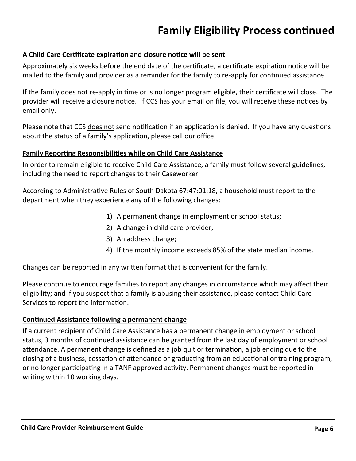#### **A Child Care Certificate expiration and closure notice will be sent**

Approximately six weeks before the end date of the certificate, a certificate expiration notice will be mailed to the family and provider as a reminder for the family to re-apply for continued assistance.

If the family does not re-apply in time or is no longer program eligible, their certificate will close. The provider will receive a closure notice. If CCS has your email on file, you will receive these notices by email only.

Please note that CCS does not send notification if an application is denied. If you have any questions about the status of a family's application, please call our office.

#### **Family Reporting Responsibilities while on Child Care Assistance**

In order to remain eligible to receive Child Care Assistance, a family must follow several guidelines, including the need to report changes to their Caseworker.

According to Administrative Rules of South Dakota 67:47:01:18, a household must report to the department when they experience any of the following changes:

- 1) A permanent change in employment or school status;
- 2) A change in child care provider;
- 3) An address change;
- 4) If the monthly income exceeds 85% of the state median income.

Changes can be reported in any written format that is convenient for the family.

Please continue to encourage families to report any changes in circumstance which may affect their eligibility; and if you suspect that a family is abusing their assistance, please contact Child Care Services to report the information.

#### **Continued Assistance following a permanent change**

If a current recipient of Child Care Assistance has a permanent change in employment or school status, 3 months of continued assistance can be granted from the last day of employment or school attendance. A permanent change is defined as a job quit or termination, a job ending due to the closing of a business, cessation of attendance or graduating from an educational or training program, or no longer participating in a TANF approved activity. Permanent changes must be reported in writing within 10 working days.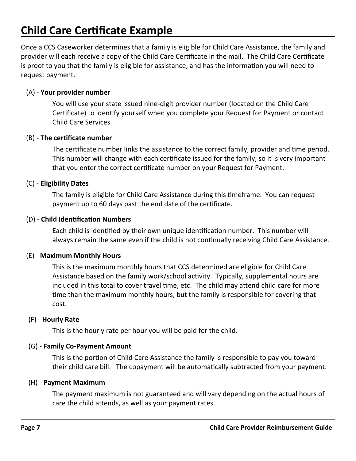## **Child Care Certificate Example**

Once a CCS Caseworker determines that a family is eligible for Child Care Assistance, the family and provider will each receive a copy of the Child Care Certificate in the mail. The Child Care Certificate is proof to you that the family is eligible for assistance, and has the information you will need to request payment.

#### (A) - **Your provider number**

You will use your state issued nine-digit provider number (located on the Child Care Certificate) to identify yourself when you complete your Request for Payment or contact Child Care Services.

#### (B) - **The certificate number**

The certificate number links the assistance to the correct family, provider and time period. This number will change with each certificate issued for the family, so it is very important that you enter the correct certificate number on your Request for Payment.

#### (C) - **Eligibility Dates**

The family is eligible for Child Care Assistance during this timeframe. You can request payment up to 60 days past the end date of the certificate.

#### (D) - **Child Identification Numbers**

Each child is identified by their own unique identification number. This number will always remain the same even if the child is not continually receiving Child Care Assistance.

#### (E) - **Maximum Monthly Hours**

This is the maximum monthly hours that CCS determined are eligible for Child Care Assistance based on the family work/school activity. Typically, supplemental hours are included in this total to cover travel time, etc. The child may attend child care for more time than the maximum monthly hours, but the family is responsible for covering that cost.

#### (F) - **Hourly Rate**

This is the hourly rate per hour you will be paid for the child.

#### (G) - **Family Co-Payment Amount**

This is the portion of Child Care Assistance the family is responsible to pay you toward their child care bill. The copayment will be automatically subtracted from your payment.

#### (H) - **Payment Maximum**

The payment maximum is not guaranteed and will vary depending on the actual hours of care the child attends, as well as your payment rates.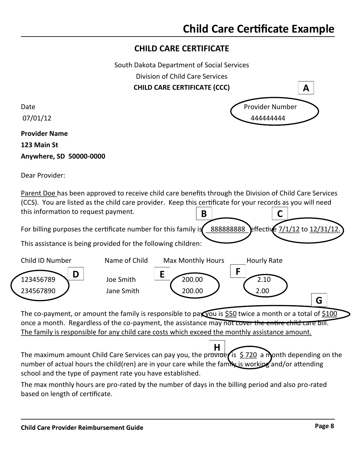#### **CHILD CARE CERTIFICATE**

South Dakota Department of Social Services

Division of Child Care Services

**CHILD CARE CERTIFICATE (CCC)**

**Provider Name 123 Main St**

**Anywhere, SD 50000-0000**

Dear Provider:

**B** Parent Doe has been approved to receive child care benefits through the Division of Child Care Services (CCS). You are listed as the child care provider. Keep this certificate for your records as you will need this information to request payment. **C**

For billing purposes the certificate number for this family is  $\frac{888888888}{8}$  effective  $\frac{7}{1/12}$  to  $\frac{12}{31/12}$ .

This assistance is being provided for the following children:



The co-payment, or amount the family is responsible to pay you is \$50 twice a month or a total of \$100 once a month. Regardless of the co-payment, the assistance may not cover the entire child care bill. The family is responsible for any child care costs which exceed the monthly assistance amount.

The maximum amount Child Care Services can pay you, the provide is  $\frac{5}{220}$  a month depending on the number of actual hours the child(ren) are in your care while the family is working and/or attending school and the type of payment rate you have established. **H**

The max monthly hours are pro-rated by the number of days in the billing period and also pro-rated based on length of certificate.

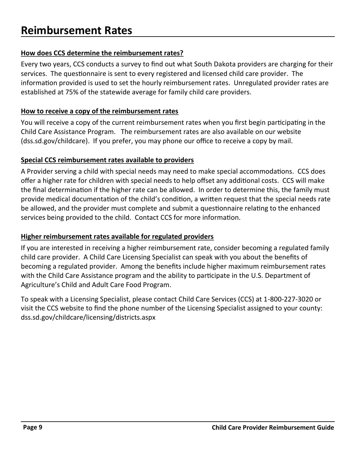#### **How does CCS determine the reimbursement rates?**

Every two years, CCS conducts a survey to find out what South Dakota providers are charging for their services. The questionnaire is sent to every registered and licensed child care provider. The information provided is used to set the hourly reimbursement rates. Unregulated provider rates are established at 75% of the statewide average for family child care providers.

#### **How to receive a copy of the reimbursement rates**

You will receive a copy of the current reimbursement rates when you first begin participating in the Child Care Assistance Program. The reimbursement rates are also available on our website (dss.sd.gov/childcare). If you prefer, you may phone our office to receive a copy by mail.

#### **Special CCS reimbursement rates available to providers**

A Provider serving a child with special needs may need to make special accommodations. CCS does offer a higher rate for children with special needs to help offset any additional costs. CCS will make the final determination if the higher rate can be allowed. In order to determine this, the family must provide medical documentation of the child's condition, a written request that the special needs rate be allowed, and the provider must complete and submit a questionnaire relating to the enhanced services being provided to the child. Contact CCS for more information.

#### **Higher reimbursement rates available for regulated providers**

If you are interested in receiving a higher reimbursement rate, consider becoming a regulated family child care provider. A Child Care Licensing Specialist can speak with you about the benefits of becoming a regulated provider. Among the benefits include higher maximum reimbursement rates with the Child Care Assistance program and the ability to participate in the U.S. Department of Agriculture's Child and Adult Care Food Program.

To speak with a Licensing Specialist, please contact Child Care Services (CCS) at 1-800-227-3020 or visit the CCS website to find the phone number of the Licensing Specialist assigned to your county: dss.sd.gov/childcare/licensing/districts.aspx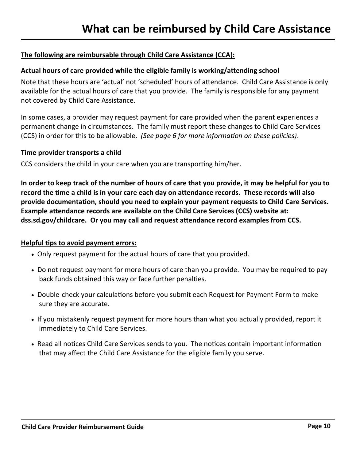#### **The following are reimbursable through Child Care Assistance (CCA):**

#### **Actual hours of care provided while the eligible family is working/attending school**

Note that these hours are 'actual' not 'scheduled' hours of attendance. Child Care Assistance is only available for the actual hours of care that you provide. The family is responsible for any payment not covered by Child Care Assistance.

In some cases, a provider may request payment for care provided when the parent experiences a permanent change in circumstances. The family must report these changes to Child Care Services (CCS) in order for this to be allowable. *(See page 6 for more information on these policies)*.

#### **Time provider transports a child**

CCS considers the child in your care when you are transporting him/her.

**In order to keep track of the number of hours of care that you provide, it may be helpful for you to record the time a child is in your care each day on attendance records. These records will also provide documentation, should you need to explain your payment requests to Child Care Services. Example attendance records are available on the Child Care Services (CCS) website at: dss.sd.gov/childcare. Or you may call and request attendance record examples from CCS.** 

#### **Helpful tips to avoid payment errors:**

- Only request payment for the actual hours of care that you provided.
- Do not request payment for more hours of care than you provide. You may be required to pay back funds obtained this way or face further penalties.
- Double-check your calculations before you submit each Request for Payment Form to make sure they are accurate.
- If you mistakenly request payment for more hours than what you actually provided, report it immediately to Child Care Services.
- Read all notices Child Care Services sends to you. The notices contain important information that may affect the Child Care Assistance for the eligible family you serve.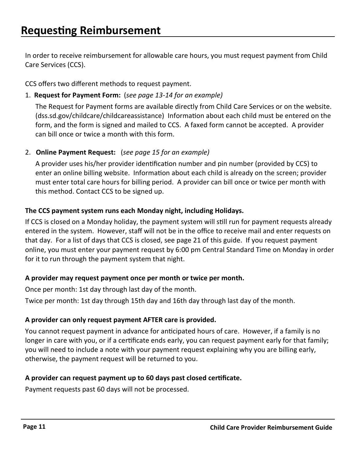In order to receive reimbursement for allowable care hours, you must request payment from Child Care Services (CCS).

CCS offers two different methods to request payment.

1. **Request for Payment Form:** (*see page 13-14 for an example)* 

The Request for Payment forms are available directly from Child Care Services or on the website. (dss.sd.gov/childcare/childcareassistance) Information about each child must be entered on the form, and the form is signed and mailed to CCS. A faxed form cannot be accepted. A provider can bill once or twice a month with this form.

2. **Online Payment Request:** (*see page 15 for an example)* 

A provider uses his/her provider identification number and pin number (provided by CCS) to enter an online billing website. Information about each child is already on the screen; provider must enter total care hours for billing period. A provider can bill once or twice per month with this method. Contact CCS to be signed up.

#### **The CCS payment system runs each Monday night, including Holidays.**

If CCS is closed on a Monday holiday, the payment system will still run for payment requests already entered in the system. However, staff will not be in the office to receive mail and enter requests on that day. For a list of days that CCS is closed, see page 21 of this guide. If you request payment online, you must enter your payment request by 6:00 pm Central Standard Time on Monday in order for it to run through the payment system that night.

#### **A provider may request payment once per month or twice per month.**

Once per month: 1st day through last day of the month.

Twice per month: 1st day through 15th day and 16th day through last day of the month.

#### **A provider can only request payment AFTER care is provided.**

You cannot request payment in advance for anticipated hours of care. However, if a family is no longer in care with you, or if a certificate ends early, you can request payment early for that family; you will need to include a note with your payment request explaining why you are billing early, otherwise, the payment request will be returned to you.

#### **A provider can request payment up to 60 days past closed certificate.**

Payment requests past 60 days will not be processed.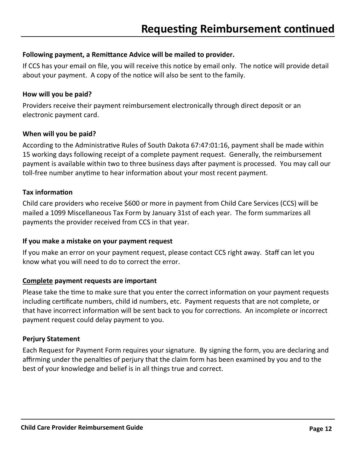#### **Following payment, a Remittance Advice will be mailed to provider.**

If CCS has your email on file, you will receive this notice by email only. The notice will provide detail about your payment. A copy of the notice will also be sent to the family.

#### **How will you be paid?**

Providers receive their payment reimbursement electronically through direct deposit or an electronic payment card.

#### **When will you be paid?**

According to the Administrative Rules of South Dakota 67:47:01:16, payment shall be made within 15 working days following receipt of a complete payment request. Generally, the reimbursement payment is available within two to three business days after payment is processed. You may call our toll-free number anytime to hear information about your most recent payment.

#### **Tax information**

Child care providers who receive \$600 or more in payment from Child Care Services (CCS) will be mailed a 1099 Miscellaneous Tax Form by January 31st of each year. The form summarizes all payments the provider received from CCS in that year.

#### **If you make a mistake on your payment request**

If you make an error on your payment request, please contact CCS right away. Staff can let you know what you will need to do to correct the error.

#### **Complete payment requests are important**

Please take the time to make sure that you enter the correct information on your payment requests including certificate numbers, child id numbers, etc. Payment requests that are not complete, or that have incorrect information will be sent back to you for corrections. An incomplete or incorrect payment request could delay payment to you.

#### **Perjury Statement**

Each Request for Payment Form requires your signature. By signing the form, you are declaring and affirming under the penalties of perjury that the claim form has been examined by you and to the best of your knowledge and belief is in all things true and correct.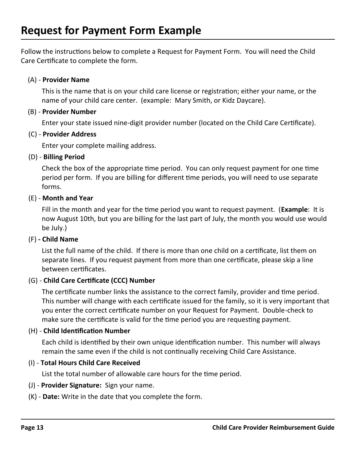Follow the instructions below to complete a Request for Payment Form. You will need the Child Care Certificate to complete the form.

#### (A) - **Provider Name**

This is the name that is on your child care license or registration; either your name, or the name of your child care center. (example: Mary Smith, or Kidz Daycare).

#### (B) - **Provider Number**

Enter your state issued nine-digit provider number (located on the Child Care Certificate).

#### (C) - **Provider Address**

Enter your complete mailing address.

#### (D) - **Billing Period**

Check the box of the appropriate time period. You can only request payment for one time period per form. If you are billing for different time periods, you will need to use separate forms.

#### (E) - **Month and Year**

Fill in the month and year for the time period you want to request payment. (**Example**: It is now August 10th, but you are billing for the last part of July, the month you would use would be July.)

#### (F) **- Child Name**

List the full name of the child. If there is more than one child on a certificate, list them on separate lines. If you request payment from more than one certificate, please skip a line between certificates.

#### (G) - **Child Care Certificate (CCC) Number**

The certificate number links the assistance to the correct family, provider and time period. This number will change with each certificate issued for the family, so it is very important that you enter the correct certificate number on your Request for Payment. Double-check to make sure the certificate is valid for the time period you are requesting payment.

#### (H) - **Child Identification Number**

Each child is identified by their own unique identification number. This number will always remain the same even if the child is not continually receiving Child Care Assistance.

#### (I) - **Total Hours Child Care Received**

List the total number of allowable care hours for the time period.

#### (J) - **Provider Signature:** Sign your name.

(K) - **Date:** Write in the date that you complete the form.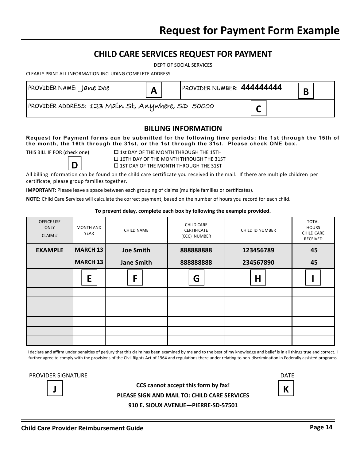#### **CHILD CARE SERVICES REQUEST FOR PAYMENT**

DEPT OF SOCIAL SERVICES

CLEARLY PRINT ALL INFORMATION INCLUDING COMPLETE ADDRESS

| PROVIDER NAME: Jane Doe                           | A | PROVIDER NUMBER: 444444444 |                       | D |  |
|---------------------------------------------------|---|----------------------------|-----------------------|---|--|
| PROVIDER ADDRESS: 123 Main St, Anywhere, SD 50000 |   |                            | $\tilde{\phantom{a}}$ |   |  |

#### **BILLING INFORMATION**

#### **Request for Payment forms can be submitted for the following time periods: the 1st through the 15th of the month, the 16th through the 31st, or the 1st through the 31st. Please check ONE box.**

**D**

THIS BILL IF FOR (check one)  $\Box$  1st DAY OF THE MONTH THROUGH THE 15TH 16TH DAY OF THE MONTH THROUGH THE 31ST  $\square$  1ST DAY OF THE MONTH THROUGH THE 31ST

All billing information can be found on the child care certificate you received in the mail. If there are multiple children per certificate, please group families together.

**IMPORTANT:** Please leave a space between each grouping of claims (multiple families or certificates).

**NOTE:** Child Care Services will calculate the correct payment, based on the number of hours you record for each child.

#### **To prevent delay, complete each box by following the example provided.**

| OFFICE USE<br><b>ONLY</b><br>CLAIM# | <b>MONTH AND</b><br>YEAR | <b>CHILD NAME</b> | <b>CHILD CARE</b><br><b>CERTIFICATE</b><br>(CCC) NUMBER | <b>CHILD ID NUMBER</b> | <b>TOTAL</b><br><b>HOURS</b><br><b>CHILD CARE</b><br>RECEIVED |
|-------------------------------------|--------------------------|-------------------|---------------------------------------------------------|------------------------|---------------------------------------------------------------|
| <b>EXAMPLE</b>                      | <b>MARCH 13</b>          | <b>Joe Smith</b>  | 888888888                                               | 123456789              | 45                                                            |
|                                     | <b>MARCH 13</b>          | <b>Jane Smith</b> | 888888888                                               | 234567890              | 45                                                            |
|                                     | E                        | F                 | G                                                       | $\mathsf H$            |                                                               |
|                                     |                          |                   |                                                         |                        |                                                               |
|                                     |                          |                   |                                                         |                        |                                                               |
|                                     |                          |                   |                                                         |                        |                                                               |
|                                     |                          |                   |                                                         |                        |                                                               |
|                                     |                          |                   |                                                         |                        |                                                               |
|                                     |                          |                   |                                                         |                        |                                                               |

I declare and affirm under penalties of perjury that this claim has been examined by me and to the best of my knowledge and belief is in all things true and correct. I further agree to comply with the provisions of the Civil Rights Act of 1964 and regulations there under relating to non-discrimination in Federally assisted programs.

PROVIDER SIGNATURE **DATE** 

**CCS cannot accept this form by fax! PLEASE SIGN AND MAIL TO: CHILD CARE SERVICES** 

**910 E. SIOUX AVENUE—PIERRE-SD-57501**

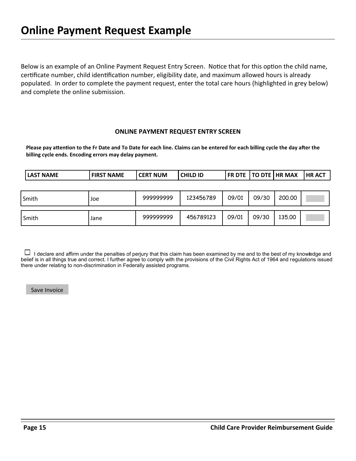Below is an example of an Online Payment Request Entry Screen. Notice that for this option the child name, certificate number, child identification number, eligibility date, and maximum allowed hours is already populated. In order to complete the payment request, enter the total care hours (highlighted in grey below) and complete the online submission.

#### **ONLINE PAYMENT REQUEST ENTRY SCREEN**

**Please pay attention to the Fr Date and To Date for each line. Claims can be entered for each billing cycle the day after the billing cycle ends. Encoding errors may delay payment.**

| <b>LAST NAME</b> | <b>FIRST NAME</b> | l CERT NUM | <b>CHILD ID</b> |       |       | <b>FR DTE   TO DTE   HR MAX</b> | <b>HR ACT</b> |
|------------------|-------------------|------------|-----------------|-------|-------|---------------------------------|---------------|
|                  |                   |            |                 |       |       |                                 |               |
| Smith            | Joe               | 999999999  | 123456789       | 09/01 | 09/30 | 200,00                          |               |
| Smith            | Jane              | 999999999  | 456789123       | 09/01 | 09/30 | 135,00                          |               |

 I declare and affirm under the penalties of perjury that this claim has been examined by me and to the best of my knowledge and belief is in all things true and correct. I further agree to comply with the provisions of the Civil Rights Act of 1964 and regulations issued there under relating to non-discrimination in Federally assisted programs.

Save Invoice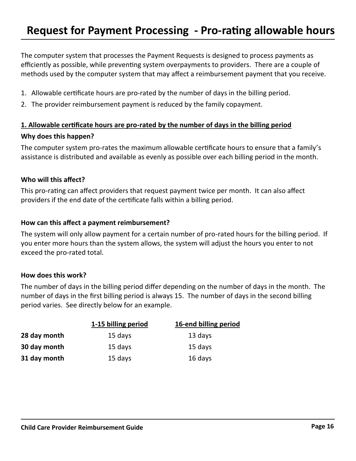The computer system that processes the Payment Requests is designed to process payments as efficiently as possible, while preventing system overpayments to providers. There are a couple of methods used by the computer system that may affect a reimbursement payment that you receive.

- 1. Allowable certificate hours are pro-rated by the number of days in the billing period.
- 2. The provider reimbursement payment is reduced by the family copayment.

#### **1. Allowable certificate hours are pro-rated by the number of days in the billing period Why does this happen?**

The computer system pro-rates the maximum allowable certificate hours to ensure that a family's assistance is distributed and available as evenly as possible over each billing period in the month.

#### **Who will this affect?**

This pro-rating can affect providers that request payment twice per month. It can also affect providers if the end date of the certificate falls within a billing period.

#### **How can this affect a payment reimbursement?**

The system will only allow payment for a certain number of pro-rated hours for the billing period. If you enter more hours than the system allows, the system will adjust the hours you enter to not exceed the pro-rated total.

#### **How does this work?**

The number of days in the billing period differ depending on the number of days in the month. The number of days in the first billing period is always 15. The number of days in the second billing period varies. See directly below for an example.

|              | 1-15 billing period | 16-end billing period |
|--------------|---------------------|-----------------------|
| 28 day month | 15 days             | 13 days               |
| 30 day month | 15 days             | 15 days               |
| 31 day month | 15 days             | 16 days               |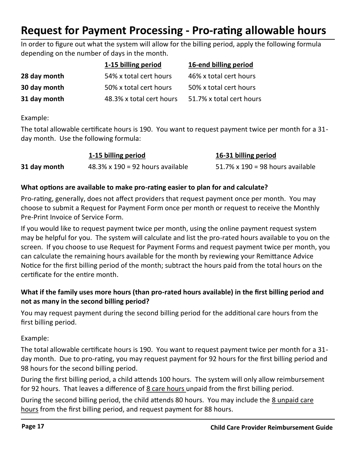## **Request for Payment Processing - Pro-rating allowable hours**

In order to figure out what the system will allow for the billing period, apply the following formula depending on the number of days in the month.

|              | 1-15 billing period      | 16-end billing period    |
|--------------|--------------------------|--------------------------|
| 28 day month | 54% x total cert hours   | 46% x total cert hours   |
| 30 day month | 50% x total cert hours   | 50% x total cert hours   |
| 31 day month | 48.3% x total cert hours | 51.7% x total cert hours |

Example:

The total allowable certificate hours is 190. You want to request payment twice per month for a 31 day month. Use the following formula:

|              | 1-15 billing period                      | 16-31 billing period             |
|--------------|------------------------------------------|----------------------------------|
| 31 day month | $48.3\% \times 190 = 92$ hours available | 51.7% x 190 = 98 hours available |

#### **What options are available to make pro-rating easier to plan for and calculate?**

Pro-rating, generally, does not affect providers that request payment once per month. You may choose to submit a Request for Payment Form once per month or request to receive the Monthly Pre-Print Invoice of Service Form.

If you would like to request payment twice per month, using the online payment request system may be helpful for you. The system will calculate and list the pro-rated hours available to you on the screen. If you choose to use Request for Payment Forms and request payment twice per month, you can calculate the remaining hours available for the month by reviewing your Remittance Advice Notice for the first billing period of the month; subtract the hours paid from the total hours on the certificate for the entire month.

#### **What if the family uses more hours (than pro-rated hours available) in the first billing period and not as many in the second billing period?**

You may request payment during the second billing period for the additional care hours from the first billing period.

Example:

The total allowable certificate hours is 190. You want to request payment twice per month for a 31 day month. Due to pro-rating, you may request payment for 92 hours for the first billing period and 98 hours for the second billing period.

During the first billing period, a child attends 100 hours. The system will only allow reimbursement for 92 hours. That leaves a difference of  $8$  care hours unpaid from the first billing period.

During the second billing period, the child attends 80 hours. You may include the 8 unpaid care hours from the first billing period, and request payment for 88 hours.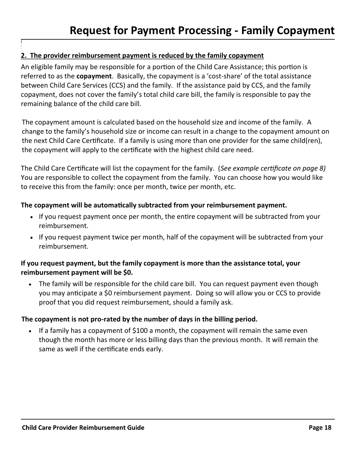#### **2. The provider reimbursement payment is reduced by the family copayment**

**] '**

An eligible family may be responsible for a portion of the Child Care Assistance; this portion is referred to as the **copayment**. Basically, the copayment is a 'cost-share' of the total assistance between Child Care Services (CCS) and the family. If the assistance paid by CCS, and the family copayment, does not cover the family's total child care bill, the family is responsible to pay the remaining balance of the child care bill.

The copayment amount is calculated based on the household size and income of the family. A change to the family's household size or income can result in a change to the copayment amount on the next Child Care Certificate. If a family is using more than one provider for the same child(ren), the copayment will apply to the certificate with the highest child care need.

The Child Care Certificate will list the copayment for the family. (*See example certificate on page 8)*  You are responsible to collect the copayment from the family. You can choose how you would like to receive this from the family: once per month, twice per month, etc.

#### **The copayment will be automatically subtracted from your reimbursement payment.**

- If you request payment once per month, the entire copayment will be subtracted from your reimbursement.
- If you request payment twice per month, half of the copayment will be subtracted from your reimbursement.

#### **If you request payment, but the family copayment is more than the assistance total, your reimbursement payment will be \$0.**

• The family will be responsible for the child care bill. You can request payment even though you may anticipate a \$0 reimbursement payment. Doing so will allow you or CCS to provide proof that you did request reimbursement, should a family ask.

#### **The copayment is not pro-rated by the number of days in the billing period.**

• If a family has a copayment of \$100 a month, the copayment will remain the same even though the month has more or less billing days than the previous month. It will remain the same as well if the certificate ends early.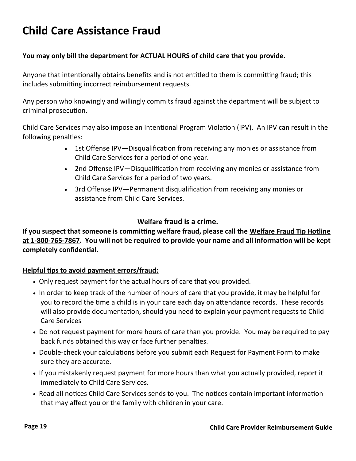#### **You may only bill the department for ACTUAL HOURS of child care that you provide.**

Anyone that intentionally obtains benefits and is not entitled to them is committing fraud; this includes submitting incorrect reimbursement requests.

Any person who knowingly and willingly commits fraud against the department will be subject to criminal prosecution.

Child Care Services may also impose an Intentional Program Violation (IPV). An IPV can result in the following penalties:

- 1st Offense IPV—Disqualification from receiving any monies or assistance from Child Care Services for a period of one year.
- 2nd Offense IPV—Disqualification from receiving any monies or assistance from Child Care Services for a period of two years.
- 3rd Offense IPV—Permanent disqualification from receiving any monies or assistance from Child Care Services.

#### **Welfare fraud is a crime.**

**If you suspect that someone is committing welfare fraud, please call the Welfare Fraud Tip Hotline at 1-800-765-7867. You will not be required to provide your name and all information will be kept completely confidential.**

#### **Helpful tips to avoid payment errors/fraud:**

- Only request payment for the actual hours of care that you provided.
- In order to keep track of the number of hours of care that you provide, it may be helpful for you to record the time a child is in your care each day on attendance records. These records will also provide documentation, should you need to explain your payment requests to Child Care Services
- Do not request payment for more hours of care than you provide. You may be required to pay back funds obtained this way or face further penalties.
- Double-check your calculations before you submit each Request for Payment Form to make sure they are accurate.
- If you mistakenly request payment for more hours than what you actually provided, report it immediately to Child Care Services.
- Read all notices Child Care Services sends to you. The notices contain important information that may affect you or the family with children in your care.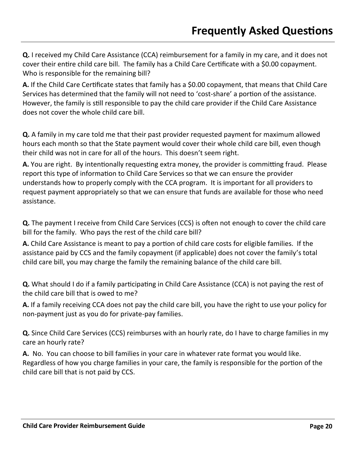**Q.** I received my Child Care Assistance (CCA) reimbursement for a family in my care, and it does not cover their entire child care bill. The family has a Child Care Certificate with a \$0.00 copayment. Who is responsible for the remaining bill?

**A.** If the Child Care Certificate states that family has a \$0.00 copayment, that means that Child Care Services has determined that the family will not need to 'cost-share' a portion of the assistance. However, the family is still responsible to pay the child care provider if the Child Care Assistance does not cover the whole child care bill.

**Q.** A family in my care told me that their past provider requested payment for maximum allowed hours each month so that the State payment would cover their whole child care bill, even though their child was not in care for all of the hours. This doesn't seem right.

**A.** You are right. By intentionally requesting extra money, the provider is committing fraud. Please report this type of information to Child Care Services so that we can ensure the provider understands how to properly comply with the CCA program. It is important for all providers to request payment appropriately so that we can ensure that funds are available for those who need assistance.

**Q.** The payment I receive from Child Care Services (CCS) is often not enough to cover the child care bill for the family. Who pays the rest of the child care bill?

**A.** Child Care Assistance is meant to pay a portion of child care costs for eligible families. If the assistance paid by CCS and the family copayment (if applicable) does not cover the family's total child care bill, you may charge the family the remaining balance of the child care bill.

**Q.** What should I do if a family participating in Child Care Assistance (CCA) is not paying the rest of the child care bill that is owed to me?

**A.** If a family receiving CCA does not pay the child care bill, you have the right to use your policy for non-payment just as you do for private-pay families.

**Q.** Since Child Care Services (CCS) reimburses with an hourly rate, do I have to charge families in my care an hourly rate?

**A.** No. You can choose to bill families in your care in whatever rate format you would like. Regardless of how you charge families in your care, the family is responsible for the portion of the child care bill that is not paid by CCS.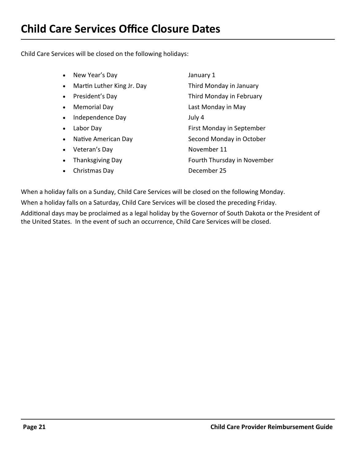Child Care Services will be closed on the following holidays:

| New Year's Day<br>$\bullet$             | January 1                   |
|-----------------------------------------|-----------------------------|
| Martin Luther King Jr. Day<br>$\bullet$ | Third Monday in January     |
| President's Day<br>$\bullet$            | Third Monday in February    |
| <b>Memorial Day</b><br>$\bullet$        | Last Monday in May          |
| Independence Day                        | July 4                      |
| Labor Day<br>$\bullet$                  | First Monday in September   |
| Native American Day                     | Second Monday in October    |
| Veteran's Day<br>$\bullet$              | November 11                 |
| <b>Thanksgiving Day</b>                 | Fourth Thursday in November |
| Christmas Day                           | December 25                 |
|                                         |                             |

When a holiday falls on a Sunday, Child Care Services will be closed on the following Monday.

When a holiday falls on a Saturday, Child Care Services will be closed the preceding Friday.

Additional days may be proclaimed as a legal holiday by the Governor of South Dakota or the President of the United States. In the event of such an occurrence, Child Care Services will be closed.